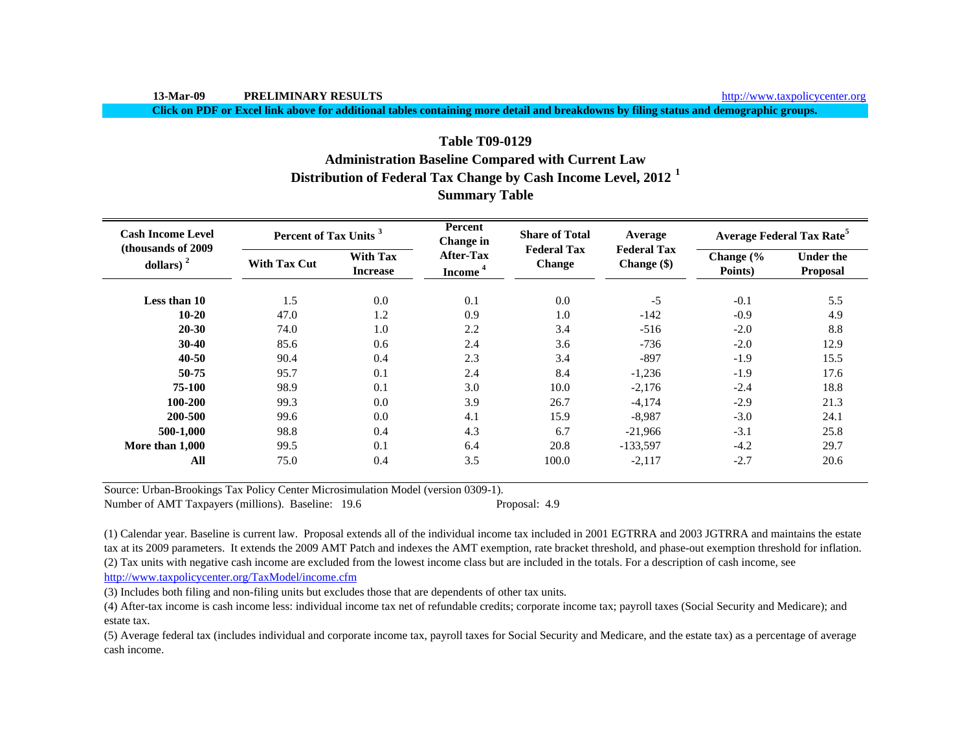http://www.taxpolicycenter.org

**Click on PDF or Excel link above for additional tables containing more detail and breakdowns by filing status and demographic groups.**

# **Distribution of Federal Tax Change by Cash Income Level, 2012 <sup>1</sup> Summary Table Table T09-0129Administration Baseline Compared with Current Law**

| <b>Cash Income Level</b><br>(thousands of 2009) | Percent of Tax Units <sup>3</sup> |                                    | Percent<br>Change in                    | <b>Share of Total</b>               | Average                           | <b>Average Federal Tax Rate<sup>5</sup></b> |                                     |  |
|-------------------------------------------------|-----------------------------------|------------------------------------|-----------------------------------------|-------------------------------------|-----------------------------------|---------------------------------------------|-------------------------------------|--|
| dollars) $2$                                    | <b>With Tax Cut</b>               | <b>With Tax</b><br><b>Increase</b> | <b>After-Tax</b><br>Income <sup>4</sup> | <b>Federal Tax</b><br><b>Change</b> | <b>Federal Tax</b><br>Change (\$) | Change (%<br>Points)                        | <b>Under the</b><br><b>Proposal</b> |  |
| Less than 10                                    | 1.5                               | 0.0                                | 0.1                                     | 0.0                                 | $-5$                              | $-0.1$                                      | 5.5                                 |  |
| $10 - 20$                                       | 47.0                              | 1.2                                | 0.9                                     | 1.0                                 | $-142$                            | $-0.9$                                      | 4.9                                 |  |
| $20 - 30$                                       | 74.0                              | 1.0                                | 2.2                                     | 3.4                                 | $-516$                            | $-2.0$                                      | 8.8                                 |  |
| $30 - 40$                                       | 85.6                              | 0.6                                | 2.4                                     | 3.6                                 | $-736$                            | $-2.0$                                      | 12.9                                |  |
| $40 - 50$                                       | 90.4                              | 0.4                                | 2.3                                     | 3.4                                 | $-897$                            | $-1.9$                                      | 15.5                                |  |
| 50-75                                           | 95.7                              | 0.1                                | 2.4                                     | 8.4                                 | $-1,236$                          | $-1.9$                                      | 17.6                                |  |
| 75-100                                          | 98.9                              | 0.1                                | 3.0                                     | 10.0                                | $-2,176$                          | $-2.4$                                      | 18.8                                |  |
| 100-200                                         | 99.3                              | 0.0                                | 3.9                                     | 26.7                                | $-4.174$                          | $-2.9$                                      | 21.3                                |  |
| 200-500                                         | 99.6                              | 0.0                                | 4.1                                     | 15.9                                | $-8.987$                          | $-3.0$                                      | 24.1                                |  |
| 500-1,000                                       | 98.8                              | 0.4                                | 4.3                                     | 6.7                                 | $-21,966$                         | $-3.1$                                      | 25.8                                |  |
| More than 1,000                                 | 99.5                              | 0.1                                | 6.4                                     | 20.8                                | $-133,597$                        | $-4.2$                                      | 29.7                                |  |
| All                                             | 75.0                              | 0.4                                | 3.5                                     | 100.0                               | $-2,117$                          | $-2.7$                                      | 20.6                                |  |

Source: Urban-Brookings Tax Policy Center Microsimulation Model (version 0309-1).

Number of AMT Taxpayers (millions). Baseline: 19.6 Proposal: 4.9

(2) Tax units with negative cash income are excluded from the lowest income class but are included in the totals. For a description of cash income, see (1) Calendar year. Baseline is current law. Proposal extends all of the individual income tax included in 2001 EGTRRA and 2003 JGTRRA and maintains the estate tax at its 2009 parameters. It extends the 2009 AMT Patch and indexes the AMT exemption, rate bracket threshold, and phase-out exemption threshold for inflation.

http://www.taxpolicycenter.org/TaxModel/income.cfm

(3) Includes both filing and non-filing units but excludes those that are dependents of other tax units.

(4) After-tax income is cash income less: individual income tax net of refundable credits; corporate income tax; payroll taxes (Social Security and Medicare); and estate tax.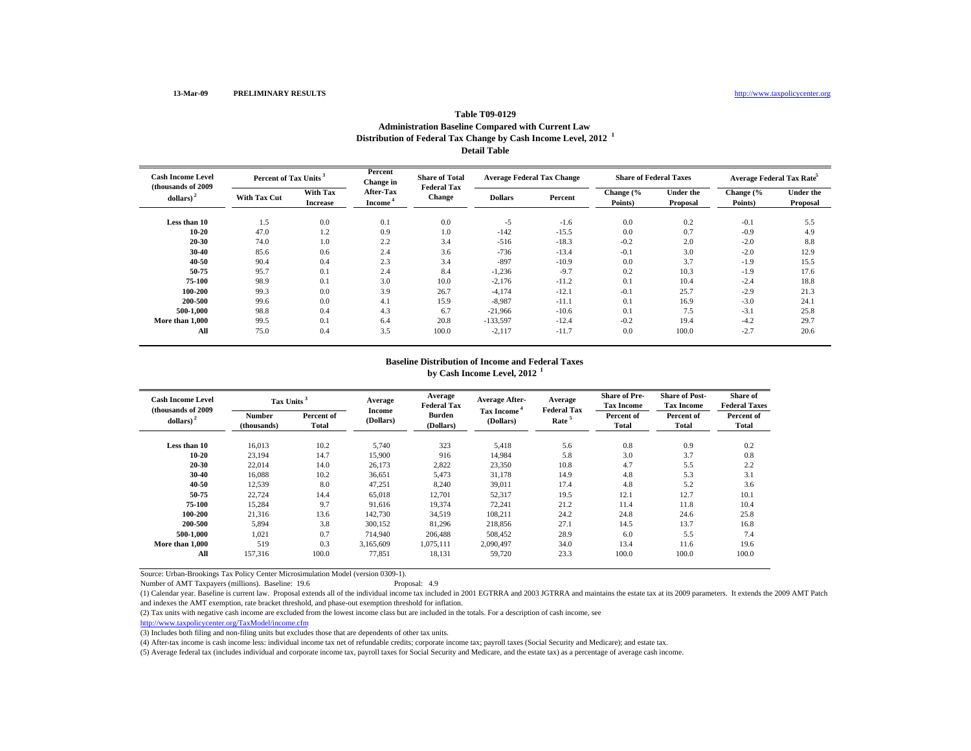#### **Table T09-0129 Administration Baseline Compared with Current Law Distribution of Federal Tax Change by Cash Income Level, 2012 <sup>1</sup> Detail Table**

| <b>Cash Income Level</b><br>(thousands of 2009) | Percent of Tax Units |                             | Percent<br>Change in                    | <b>Share of Total</b><br><b>Federal Tax</b> | <b>Average Federal Tax Change</b> |         | <b>Share of Federal Taxes</b> |                              | Average Federal Tax Rate |                              |
|-------------------------------------------------|----------------------|-----------------------------|-----------------------------------------|---------------------------------------------|-----------------------------------|---------|-------------------------------|------------------------------|--------------------------|------------------------------|
| dollars) <sup>2</sup>                           | <b>With Tax Cut</b>  | With Tax<br><b>Increase</b> | <b>After-Tax</b><br>Income <sup>*</sup> | <b>Change</b>                               | <b>Dollars</b>                    | Percent | Change (%<br>Points)          | <b>Under the</b><br>Proposal | Change (%<br>Points)     | <b>Under the</b><br>Proposal |
| Less than 10                                    | 1.5                  | 0.0                         | 0.1                                     | 0.0                                         | $-5$                              | $-1.6$  | 0.0                           | 0.2                          | $-0.1$                   | 5.5                          |
| 10-20                                           | 47.0                 | 1.2                         | 0.9                                     | 1.0                                         | $-142$                            | $-15.5$ | 0.0                           | 0.7                          | $-0.9$                   | 4.9                          |
| 20-30                                           | 74.0                 | 1.0                         | 2.2                                     | 3.4                                         | $-516$                            | $-18.3$ | $-0.2$                        | 2.0                          | $-2.0$                   | 8.8                          |
| 30-40                                           | 85.6                 | 0.6                         | 2.4                                     | 3.6                                         | $-736$                            | $-13.4$ | $-0.1$                        | 3.0                          | $-2.0$                   | 12.9                         |
| 40-50                                           | 90.4                 | 0.4                         | 2.3                                     | 3.4                                         | $-897$                            | $-10.9$ | 0.0                           | 3.7                          | $-1.9$                   | 15.5                         |
| 50-75                                           | 95.7                 | 0.1                         | 2.4                                     | 8.4                                         | $-1,236$                          | $-9.7$  | 0.2                           | 10.3                         | $-1.9$                   | 17.6                         |
| 75-100                                          | 98.9                 | 0.1                         | 3.0                                     | 10.0                                        | $-2,176$                          | $-11.2$ | 0.1                           | 10.4                         | $-2.4$                   | 18.8                         |
| 100-200                                         | 99.3                 | 0.0                         | 3.9                                     | 26.7                                        | $-4.174$                          | $-12.1$ | $-0.1$                        | 25.7                         | $-2.9$                   | 21.3                         |
| 200-500                                         | 99.6                 | 0.0                         | 4.1                                     | 15.9                                        | $-8.987$                          | $-11.1$ | 0.1                           | 16.9                         | $-3.0$                   | 24.1                         |
| 500-1.000                                       | 98.8                 | 0.4                         | 4.3                                     | 6.7                                         | $-21,966$                         | $-10.6$ | 0.1                           | 7.5                          | $-3.1$                   | 25.8                         |
| More than 1.000                                 | 99.5                 | 0.1                         | 6.4                                     | 20.8                                        | $-133,597$                        | $-12.4$ | $-0.2$                        | 19.4                         | $-4.2$                   | 29.7                         |
| All                                             | 75.0                 | 0.4                         | 3.5                                     | 100.0                                       | $-2,117$                          | $-11.7$ | 0.0                           | 100.0                        | $-2.7$                   | 20.6                         |

## **by Cash Income Level, 2012 <sup>1</sup> Baseline Distribution of Income and Federal Taxes**

| <b>Cash Income Level</b><br>(thousands of 2009) | Tax Units <sup>3</sup>       |                     | Average             | Average<br><b>Federal Tax</b> | <b>Average After-</b>   | Average<br><b>Federal Tax</b> | <b>Share of Pre-</b><br><b>Tax Income</b> | <b>Share of Post-</b><br><b>Tax Income</b> | <b>Share of</b><br><b>Federal Taxes</b> |
|-------------------------------------------------|------------------------------|---------------------|---------------------|-------------------------------|-------------------------|-------------------------------|-------------------------------------------|--------------------------------------------|-----------------------------------------|
| dollars) $2$                                    | <b>Number</b><br>(thousands) | Percent of<br>Total | Income<br>(Dollars) | <b>Burden</b><br>(Dollars)    | Tax Income<br>(Dollars) | Rate <sup>5</sup>             | Percent of<br><b>Total</b>                | Percent of<br>Total                        | Percent of<br>Total                     |
| Less than 10                                    | 16,013                       | 10.2                | 5,740               | 323                           | 5,418                   | 5.6                           | 0.8                                       | 0.9                                        | 0.2                                     |
| $10 - 20$                                       | 23,194                       | 14.7                | 15,900              | 916                           | 14.984                  | 5.8                           | 3.0                                       | 3.7                                        | 0.8                                     |
| 20-30                                           | 22,014                       | 14.0                | 26,173              | 2,822                         | 23,350                  | 10.8                          | 4.7                                       | 5.5                                        | 2.2                                     |
| 30-40                                           | 16,088                       | 10.2                | 36,651              | 5,473                         | 31,178                  | 14.9                          | 4.8                                       | 5.3                                        | 3.1                                     |
| 40-50                                           | 12,539                       | 8.0                 | 47,251              | 8,240                         | 39,011                  | 17.4                          | 4.8                                       | 5.2                                        | 3.6                                     |
| 50-75                                           | 22,724                       | 14.4                | 65,018              | 12,701                        | 52,317                  | 19.5                          | 12.1                                      | 12.7                                       | 10.1                                    |
| 75-100                                          | 15,284                       | 9.7                 | 91,616              | 19,374                        | 72,241                  | 21.2                          | 11.4                                      | 11.8                                       | 10.4                                    |
| 100-200                                         | 21,316                       | 13.6                | 142,730             | 34.519                        | 108,211                 | 24.2                          | 24.8                                      | 24.6                                       | 25.8                                    |
| 200-500                                         | 5,894                        | 3.8                 | 300,152             | 81,296                        | 218,856                 | 27.1                          | 14.5                                      | 13.7                                       | 16.8                                    |
| 500-1.000                                       | 1,021                        | 0.7                 | 714,940             | 206,488                       | 508,452                 | 28.9                          | 6.0                                       | 5.5                                        | 7.4                                     |
| More than 1.000                                 | 519                          | 0.3                 | 3,165,609           | 1,075,111                     | 2,090,497               | 34.0                          | 13.4                                      | 11.6                                       | 19.6                                    |
| All                                             | 157,316                      | 100.0               | 77,851              | 18,131                        | 59,720                  | 23.3                          | 100.0                                     | 100.0                                      | 100.0                                   |

Source: Urban-Brookings Tax Policy Center Microsimulation Model (version 0309-1).

Number of AMT Taxpayers (millions). Baseline: 19.6

(1) Calendar year. Baseline is current law. Proposal extends all of the individual income tax included in 2001 EGTRRA and 2003 JGTRRA and maintains the estate tax at its 2009 parameters. It extends the 2009 AMT Patch and indexes the AMT exemption, rate bracket threshold, and phase-out exemption threshold for inflation.

(2) Tax units with negative cash income are excluded from the lowest income class but are included in the totals. For a description of cash income, see

http://www.taxpolicycenter.org/TaxModel/income.cfm

(3) Includes both filing and non-filing units but excludes those that are dependents of other tax units.

(4) After-tax income is cash income less: individual income tax net of refundable credits; corporate income tax; payroll taxes (Social Security and Medicare); and estate tax.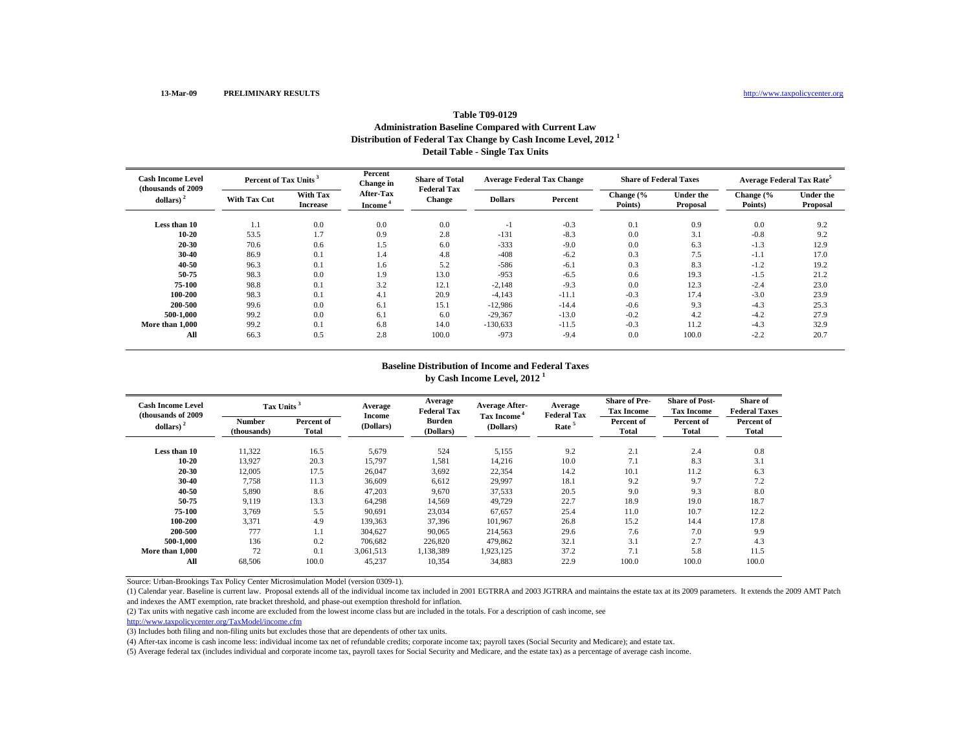# **Table T09-0129Administration Baseline Compared with Current Law Distribution of Federal Tax Change by Cash Income Level, 2012 <sup>1</sup> Detail Table - Single Tax Units**

| <b>Cash Income Level</b><br>(thousands of 2009) | Percent of Tax Units <sup>3</sup> |                             | Percent<br>Change in                    | <b>Share of Total</b><br><b>Federal Tax</b> | <b>Average Federal Tax Change</b> |         | <b>Share of Federal Taxes</b> |                              | <b>Average Federal Tax Rate<sup>5</sup></b> |                              |
|-------------------------------------------------|-----------------------------------|-----------------------------|-----------------------------------------|---------------------------------------------|-----------------------------------|---------|-------------------------------|------------------------------|---------------------------------------------|------------------------------|
| dollars)                                        | <b>With Tax Cut</b>               | With Tax<br><b>Increase</b> | <b>After-Tax</b><br>Income <sup>®</sup> | <b>Change</b>                               | <b>Dollars</b>                    | Percent | Change (%<br>Points)          | <b>Under the</b><br>Proposal | Change (%<br>Points)                        | <b>Under the</b><br>Proposal |
| Less than 10                                    | 1.1                               | 0.0                         | 0.0                                     | 0.0                                         | $-1$                              | $-0.3$  | 0.1                           | 0.9                          | 0.0                                         | 9.2                          |
| 10-20                                           | 53.5                              | 1.7                         | 0.9                                     | 2.8                                         | $-131$                            | $-8.3$  | 0.0                           | 3.1                          | $-0.8$                                      | 9.2                          |
| 20-30                                           | 70.6                              | 0.6                         | 1.5                                     | 6.0                                         | $-333$                            | $-9.0$  | 0.0                           | 6.3                          | $-1.3$                                      | 12.9                         |
| 30-40                                           | 86.9                              | 0.1                         | 1.4                                     | 4.8                                         | $-408$                            | $-6.2$  | 0.3                           | 7.5                          | $-1.1$                                      | 17.0                         |
| 40-50                                           | 96.3                              | 0.1                         | 1.6                                     | 5.2                                         | $-586$                            | $-6.1$  | 0.3                           | 8.3                          | $-1.2$                                      | 19.2                         |
| 50-75                                           | 98.3                              | 0.0                         | 1.9                                     | 13.0                                        | $-953$                            | $-6.5$  | 0.6                           | 19.3                         | $-1.5$                                      | 21.2                         |
| 75-100                                          | 98.8                              | 0.1                         | 3.2                                     | 12.1                                        | $-2,148$                          | $-9.3$  | 0.0                           | 12.3                         | $-2.4$                                      | 23.0                         |
| 100-200                                         | 98.3                              | 0.1                         | 4.1                                     | 20.9                                        | $-4,143$                          | $-11.1$ | $-0.3$                        | 17.4                         | $-3.0$                                      | 23.9                         |
| 200-500                                         | 99.6                              | 0.0                         | 6.1                                     | 15.1                                        | $-12,986$                         | $-14.4$ | $-0.6$                        | 9.3                          | $-4.3$                                      | 25.3                         |
| 500-1.000                                       | 99.2                              | 0.0                         | 6.1                                     | 6.0                                         | $-29,367$                         | $-13.0$ | $-0.2$                        | 4.2                          | $-4.2$                                      | 27.9                         |
| More than 1,000                                 | 99.2                              | 0.1                         | 6.8                                     | 14.0                                        | $-130,633$                        | $-11.5$ | $-0.3$                        | 11.2                         | $-4.3$                                      | 32.9                         |
| All                                             | 66.3                              | 0.5                         | 2.8                                     | 100.0                                       | $-973$                            | $-9.4$  | 0.0                           | 100.0                        | $-2.2$                                      | 20.7                         |

#### **Baseline Distribution of Income and Federal Taxes by Cash Income Level, 2012 <sup>1</sup>**

| <b>Cash Income Level</b><br>(thousands of 2009) |                              | Tax Units <sup>3</sup>     |                     | Average<br><b>Federal Tax</b> | <b>Average After-</b>                | Average<br><b>Federal Tax</b> | <b>Share of Pre-</b><br><b>Tax Income</b> | <b>Share of Post-</b><br><b>Tax Income</b> | Share of<br><b>Federal Taxes</b> |
|-------------------------------------------------|------------------------------|----------------------------|---------------------|-------------------------------|--------------------------------------|-------------------------------|-------------------------------------------|--------------------------------------------|----------------------------------|
| dollars) $2$                                    | <b>Number</b><br>(thousands) | Percent of<br><b>Total</b> | Income<br>(Dollars) | <b>Burden</b><br>(Dollars)    | Tax Income <sup>4</sup><br>(Dollars) | Rate <sup>5</sup>             | Percent of<br>Total                       | Percent of<br>Total                        | Percent of<br>Total              |
| Less than 10                                    | 11,322                       | 16.5                       | 5,679               | 524                           | 5,155                                | 9.2                           | 2.1                                       | 2.4                                        | 0.8                              |
| 10-20                                           | 13,927                       | 20.3                       | 15,797              | 1,581                         | 14,216                               | 10.0                          | 7.1                                       | 8.3                                        | 3.1                              |
| 20-30                                           | 12,005                       | 17.5                       | 26,047              | 3,692                         | 22,354                               | 14.2                          | 10.1                                      | 11.2                                       | 6.3                              |
| 30-40                                           | 7,758                        | 11.3                       | 36,609              | 6,612                         | 29,997                               | 18.1                          | 9.2                                       | 9.7                                        | 7.2                              |
| 40-50                                           | 5,890                        | 8.6                        | 47,203              | 9,670                         | 37,533                               | 20.5                          | 9.0                                       | 9.3                                        | 8.0                              |
| 50-75                                           | 9,119                        | 13.3                       | 64,298              | 14,569                        | 49,729                               | 22.7                          | 18.9                                      | 19.0                                       | 18.7                             |
| 75-100                                          | 3,769                        | 5.5                        | 90,691              | 23,034                        | 67,657                               | 25.4                          | 11.0                                      | 10.7                                       | 12.2                             |
| 100-200                                         | 3.371                        | 4.9                        | 139,363             | 37,396                        | 101,967                              | 26.8                          | 15.2                                      | 14.4                                       | 17.8                             |
| 200-500                                         | 777                          | 1.1                        | 304.627             | 90,065                        | 214,563                              | 29.6                          | 7.6                                       | 7.0                                        | 9.9                              |
| 500-1.000                                       | 136                          | 0.2                        | 706,682             | 226,820                       | 479,862                              | 32.1                          | 3.1                                       | 2.7                                        | 4.3                              |
| More than 1.000                                 | 72                           | 0.1                        | 3,061,513           | 1,138,389                     | 1,923,125                            | 37.2                          | 7.1                                       | 5.8                                        | 11.5                             |
| All                                             | 68,506                       | 100.0                      | 45,237              | 10,354                        | 34,883                               | 22.9                          | 100.0                                     | 100.0                                      | 100.0                            |

Source: Urban-Brookings Tax Policy Center Microsimulation Model (version 0309-1).

(1) Calendar year. Baseline is current law. Proposal extends all of the individual income tax included in 2001 EGTRRA and 2003 JGTRRA and maintains the estate tax at its 2009 parameters. It extends the 2009 AMT Patch and indexes the AMT exemption, rate bracket threshold, and phase-out exemption threshold for inflation.

(2) Tax units with negative cash income are excluded from the lowest income class but are included in the totals. For a description of cash income, see

(3) Includes both filing and non-filing units but excludes those that are dependents of other tax units.

(4) After-tax income is cash income less: individual income tax net of refundable credits; corporate income tax; payroll taxes (Social Security and Medicare); and estate tax.

http://www.taxpolicycenter.org/TaxModel/income.cfm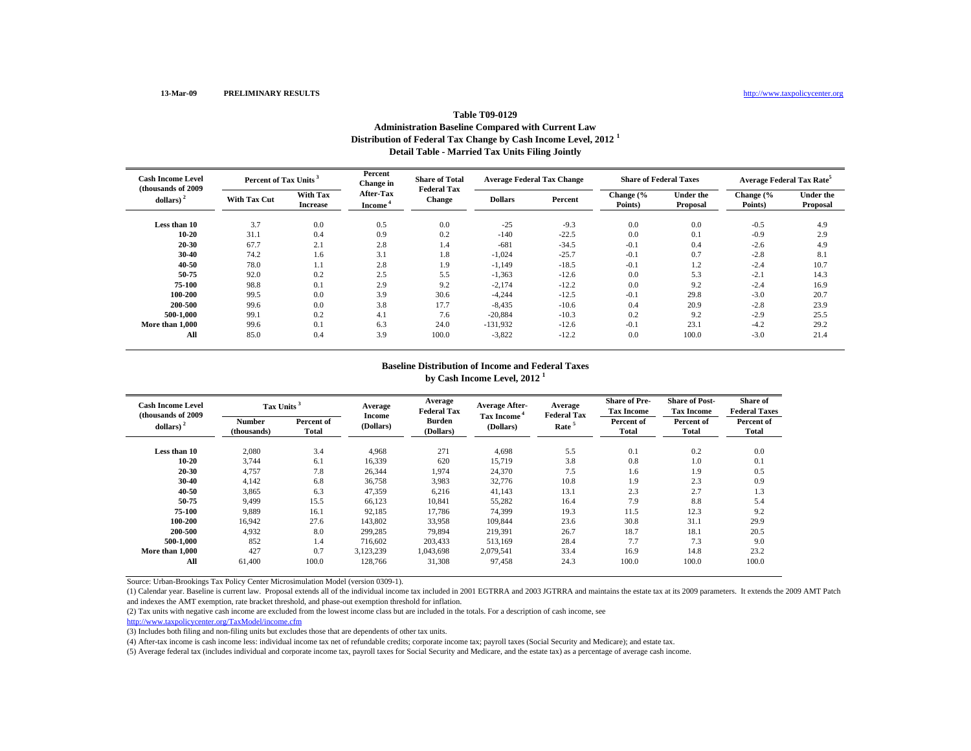# **Table T09-0129Administration Baseline Compared with Current Law Distribution of Federal Tax Change by Cash Income Level, 2012 <sup>1</sup> Detail Table - Married Tax Units Filing Jointly**

| <b>Cash Income Level</b><br>(thousands of 2009) | Percent of Tax Units |                                    | Percent<br>Change in                    | <b>Share of Total</b><br><b>Federal Tax</b> | <b>Average Federal Tax Change</b> |         | <b>Share of Federal Taxes</b> |                              | <b>Average Federal Tax Rate<sup>5</sup></b> |                              |
|-------------------------------------------------|----------------------|------------------------------------|-----------------------------------------|---------------------------------------------|-----------------------------------|---------|-------------------------------|------------------------------|---------------------------------------------|------------------------------|
| dollars)                                        | With Tax Cut         | <b>With Tax</b><br><b>Increase</b> | <b>After-Tax</b><br>Income <sup>®</sup> | <b>Change</b>                               | <b>Dollars</b>                    | Percent | Change (%<br>Points)          | <b>Under the</b><br>Proposal | Change (%<br>Points)                        | <b>Under the</b><br>Proposal |
| Less than 10                                    | 3.7                  | 0.0                                | 0.5                                     | 0.0                                         | $-25$                             | $-9.3$  | 0.0                           | 0.0                          | $-0.5$                                      | 4.9                          |
| 10-20                                           | 31.1                 | 0.4                                | 0.9                                     | 0.2                                         | $-140$                            | $-22.5$ | 0.0                           | 0.1                          | $-0.9$                                      | 2.9                          |
| 20-30                                           | 67.7                 | 2.1                                | 2.8                                     | 1.4                                         | $-681$                            | $-34.5$ | $-0.1$                        | 0.4                          | $-2.6$                                      | 4.9                          |
| 30-40                                           | 74.2                 | 1.6                                | 3.1                                     | 1.8                                         | $-1,024$                          | $-25.7$ | $-0.1$                        | 0.7                          | $-2.8$                                      | 8.1                          |
| 40-50                                           | 78.0                 | 1.1                                | 2.8                                     | 1.9                                         | $-1,149$                          | $-18.5$ | $-0.1$                        | 1.2                          | $-2.4$                                      | 10.7                         |
| 50-75                                           | 92.0                 | 0.2                                | 2.5                                     | 5.5                                         | $-1,363$                          | $-12.6$ | 0.0                           | 5.3                          | $-2.1$                                      | 14.3                         |
| 75-100                                          | 98.8                 | 0.1                                | 2.9                                     | 9.2                                         | $-2,174$                          | $-12.2$ | 0.0                           | 9.2                          | $-2.4$                                      | 16.9                         |
| 100-200                                         | 99.5                 | 0.0                                | 3.9                                     | 30.6                                        | $-4,244$                          | $-12.5$ | $-0.1$                        | 29.8                         | $-3.0$                                      | 20.7                         |
| 200-500                                         | 99.6                 | 0.0                                | 3.8                                     | 17.7                                        | $-8,435$                          | $-10.6$ | 0.4                           | 20.9                         | $-2.8$                                      | 23.9                         |
| 500-1.000                                       | 99.1                 | 0.2                                | 4.1                                     | 7.6                                         | $-20,884$                         | $-10.3$ | 0.2                           | 9.2                          | $-2.9$                                      | 25.5                         |
| More than 1.000                                 | 99.6                 | 0.1                                | 6.3                                     | 24.0                                        | $-131,932$                        | $-12.6$ | $-0.1$                        | 23.1                         | $-4.2$                                      | 29.2                         |
| All                                             | 85.0                 | 0.4                                | 3.9                                     | 100.0                                       | $-3,822$                          | $-12.2$ | 0.0                           | 100.0                        | $-3.0$                                      | 21.4                         |

#### **Baseline Distribution of Income and Federal Taxes by Cash Income Level, 2012 <sup>1</sup>**

| <b>Cash Income Level</b><br>(thousands of 2009) | Tax Units <sup>3</sup> |                     | Average             | Average<br><b>Federal Tax</b> | <b>Average After-</b>                | Average<br><b>Federal Tax</b> | <b>Share of Pre-</b><br><b>Tax Income</b> | <b>Share of Post-</b><br><b>Tax Income</b> | <b>Share of</b><br><b>Federal Taxes</b> |
|-------------------------------------------------|------------------------|---------------------|---------------------|-------------------------------|--------------------------------------|-------------------------------|-------------------------------------------|--------------------------------------------|-----------------------------------------|
| dollars) $2$                                    | Number<br>(thousands)  | Percent of<br>Total | Income<br>(Dollars) | <b>Burden</b><br>(Dollars)    | Tax Income <sup>4</sup><br>(Dollars) | Rate <sup>5</sup>             | Percent of<br>Total                       | Percent of<br><b>Total</b>                 | Percent of<br>Total                     |
| Less than 10                                    | 2,080                  | 3.4                 | 4,968               | 271                           | 4,698                                | 5.5                           | 0.1                                       | 0.2                                        | 0.0                                     |
| 10-20                                           | 3,744                  | 6.1                 | 16,339              | 620                           | 15,719                               | 3.8                           | 0.8                                       | 1.0                                        | 0.1                                     |
| 20-30                                           | 4,757                  | 7.8                 | 26,344              | 1,974                         | 24,370                               | 7.5                           | 1.6                                       | 1.9                                        | 0.5                                     |
| 30-40                                           | 4,142                  | 6.8                 | 36,758              | 3,983                         | 32,776                               | 10.8                          | 1.9                                       | 2.3                                        | 0.9                                     |
| 40-50                                           | 3,865                  | 6.3                 | 47,359              | 6,216                         | 41,143                               | 13.1                          | 2.3                                       | 2.7                                        | 1.3                                     |
| 50-75                                           | 9,499                  | 15.5                | 66,123              | 10,841                        | 55,282                               | 16.4                          | 7.9                                       | 8.8                                        | 5.4                                     |
| 75-100                                          | 9.889                  | 16.1                | 92,185              | 17,786                        | 74,399                               | 19.3                          | 11.5                                      | 12.3                                       | 9.2                                     |
| 100-200                                         | 16.942                 | 27.6                | 143.802             | 33,958                        | 109,844                              | 23.6                          | 30.8                                      | 31.1                                       | 29.9                                    |
| 200-500                                         | 4,932                  | 8.0                 | 299,285             | 79,894                        | 219,391                              | 26.7                          | 18.7                                      | 18.1                                       | 20.5                                    |
| 500-1.000                                       | 852                    | 1.4                 | 716.602             | 203,433                       | 513,169                              | 28.4                          | 7.7                                       | 7.3                                        | 9.0                                     |
| More than 1.000                                 | 427                    | 0.7                 | 3,123,239           | 1,043,698                     | 2,079,541                            | 33.4                          | 16.9                                      | 14.8                                       | 23.2                                    |
| All                                             | 61.400                 | 100.0               | 128,766             | 31,308                        | 97,458                               | 24.3                          | 100.0                                     | 100.0                                      | 100.0                                   |

Source: Urban-Brookings Tax Policy Center Microsimulation Model (version 0309-1).

(1) Calendar year. Baseline is current law. Proposal extends all of the individual income tax included in 2001 EGTRRA and 2003 JGTRRA and maintains the estate tax at its 2009 parameters. It extends the 2009 AMT Patch and indexes the AMT exemption, rate bracket threshold, and phase-out exemption threshold for inflation.

(2) Tax units with negative cash income are excluded from the lowest income class but are included in the totals. For a description of cash income, see

http://www.taxpolicycenter.org/TaxModel/income.cfm

(3) Includes both filing and non-filing units but excludes those that are dependents of other tax units.

(4) After-tax income is cash income less: individual income tax net of refundable credits; corporate income tax; payroll taxes (Social Security and Medicare); and estate tax.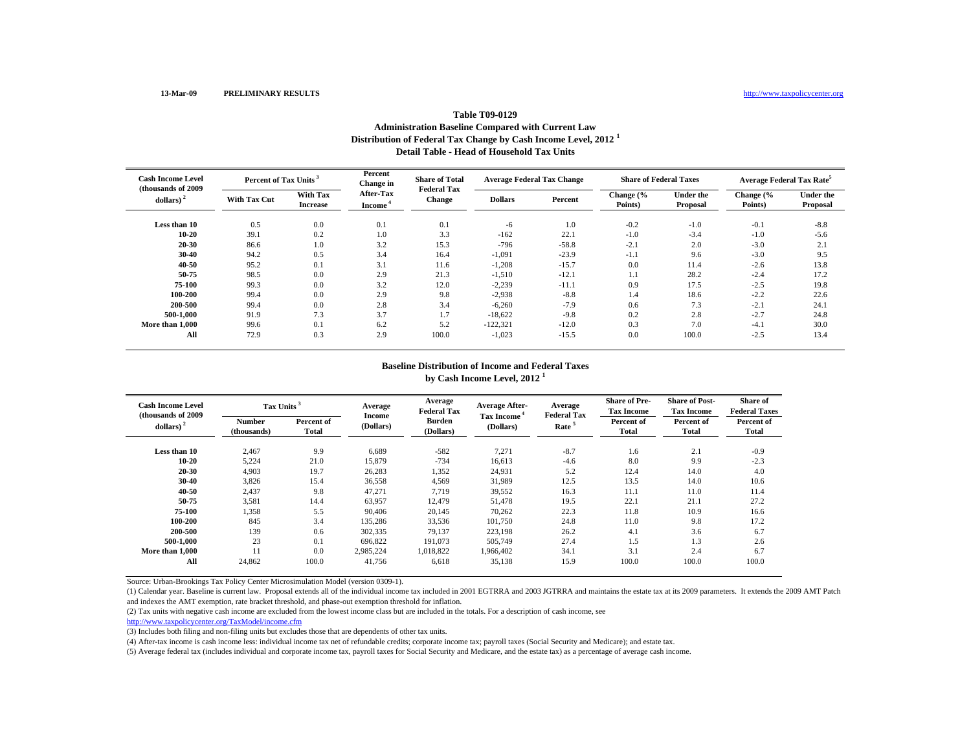# **Table T09-0129Administration Baseline Compared with Current Law Distribution of Federal Tax Change by Cash Income Level, 2012 <sup>1</sup> Detail Table - Head of Household Tax Units**

| <b>Cash Income Level</b><br>(thousands of 2009) | Percent of Tax Units <sup>3</sup> |                             | Percent<br>Change in                    | <b>Share of Total</b><br><b>Federal Tax</b> | <b>Average Federal Tax Change</b> |         | <b>Share of Federal Taxes</b> |                              | Average Federal Tax Rate <sup>5</sup> |                       |
|-------------------------------------------------|-----------------------------------|-----------------------------|-----------------------------------------|---------------------------------------------|-----------------------------------|---------|-------------------------------|------------------------------|---------------------------------------|-----------------------|
| dollars)                                        | <b>With Tax Cut</b>               | With Tax<br><b>Increase</b> | <b>After-Tax</b><br>Income <sup>"</sup> | <b>Change</b>                               | <b>Dollars</b>                    | Percent | Change (%<br>Points)          | <b>Under the</b><br>Proposal | Change (%<br>Points)                  | Under the<br>Proposal |
| Less than 10                                    | 0.5                               | 0.0                         | 0.1                                     | 0.1                                         | -6                                | 1.0     | $-0.2$                        | $-1.0$                       | $-0.1$                                | $-8.8$                |
| 10-20                                           | 39.1                              | 0.2                         | 1.0                                     | 3.3                                         | $-162$                            | 22.1    | $-1.0$                        | $-3.4$                       | $-1.0$                                | $-5.6$                |
| 20-30                                           | 86.6                              | 1.0                         | 3.2                                     | 15.3                                        | $-796$                            | $-58.8$ | $-2.1$                        | 2.0                          | $-3.0$                                | 2.1                   |
| 30-40                                           | 94.2                              | 0.5                         | 3.4                                     | 16.4                                        | $-1,091$                          | $-23.9$ | $-1.1$                        | 9.6                          | $-3.0$                                | 9.5                   |
| 40-50                                           | 95.2                              | 0.1                         | 3.1                                     | 11.6                                        | $-1,208$                          | $-15.7$ | 0.0                           | 11.4                         | $-2.6$                                | 13.8                  |
| 50-75                                           | 98.5                              | 0.0                         | 2.9                                     | 21.3                                        | $-1,510$                          | $-12.1$ | 1.1                           | 28.2                         | $-2.4$                                | 17.2                  |
| 75-100                                          | 99.3                              | 0.0                         | 3.2                                     | 12.0                                        | $-2,239$                          | $-11.1$ | 0.9                           | 17.5                         | $-2.5$                                | 19.8                  |
| 100-200                                         | 99.4                              | 0.0                         | 2.9                                     | 9.8                                         | $-2,938$                          | $-8.8$  | 1.4                           | 18.6                         | $-2.2$                                | 22.6                  |
| 200-500                                         | 99.4                              | 0.0                         | 2.8                                     | 3.4                                         | $-6,260$                          | $-7.9$  | 0.6                           | 7.3                          | $-2.1$                                | 24.1                  |
| 500-1.000                                       | 91.9                              | 7.3                         | 3.7                                     | 1.7                                         | $-18,622$                         | $-9.8$  | 0.2                           | 2.8                          | $-2.7$                                | 24.8                  |
| More than 1,000                                 | 99.6                              | 0.1                         | 6.2                                     | 5.2                                         | $-122,321$                        | $-12.0$ | 0.3                           | 7.0                          | $-4.1$                                | 30.0                  |
| All                                             | 72.9                              | 0.3                         | 2.9                                     | 100.0                                       | $-1,023$                          | $-15.5$ | 0.0                           | 100.0                        | $-2.5$                                | 13.4                  |

#### **Baseline Distribution of Income and Federal Taxes by Cash Income Level, 2012 <sup>1</sup>**

| <b>Cash Income Level</b><br>(thousands of 2009) |                       | Tax Units <sup>3</sup> |                            | Average<br><b>Federal Tax</b> | <b>Average After-</b>                | Average<br><b>Federal Tax</b> | <b>Share of Pre-</b><br><b>Tax Income</b> | <b>Share of Post-</b><br><b>Tax Income</b> | Share of<br><b>Federal Taxes</b> |
|-------------------------------------------------|-----------------------|------------------------|----------------------------|-------------------------------|--------------------------------------|-------------------------------|-------------------------------------------|--------------------------------------------|----------------------------------|
| dollars) $2$                                    | Number<br>(thousands) | Percent of<br>Total    | <b>Income</b><br>(Dollars) | <b>Burden</b><br>(Dollars)    | Tax Income <sup>4</sup><br>(Dollars) | Rate <sup>5</sup>             | Percent of<br>Total                       | Percent of<br><b>Total</b>                 | Percent of<br>Total              |
| Less than 10                                    | 2,467                 | 9.9                    | 6.689                      | $-582$                        | 7,271                                | $-8.7$                        | 1.6                                       | 2.1                                        | $-0.9$                           |
| 10-20                                           | 5,224                 | 21.0                   | 15,879                     | $-734$                        | 16,613                               | $-4.6$                        | 8.0                                       | 9.9                                        | $-2.3$                           |
| 20-30                                           | 4,903                 | 19.7                   | 26,283                     | 1,352                         | 24,931                               | 5.2                           | 12.4                                      | 14.0                                       | 4.0                              |
| 30-40                                           | 3,826                 | 15.4                   | 36,558                     | 4,569                         | 31,989                               | 12.5                          | 13.5                                      | 14.0                                       | 10.6                             |
| 40-50                                           | 2,437                 | 9.8                    | 47,271                     | 7,719                         | 39,552                               | 16.3                          | 11.1                                      | 11.0                                       | 11.4                             |
| 50-75                                           | 3,581                 | 14.4                   | 63,957                     | 12,479                        | 51,478                               | 19.5                          | 22.1                                      | 21.1                                       | 27.2                             |
| 75-100                                          | 1,358                 | 5.5                    | 90,406                     | 20,145                        | 70,262                               | 22.3                          | 11.8                                      | 10.9                                       | 16.6                             |
| 100-200                                         | 845                   | 3.4                    | 135,286                    | 33,536                        | 101,750                              | 24.8                          | 11.0                                      | 9.8                                        | 17.2                             |
| 200-500                                         | 139                   | 0.6                    | 302,335                    | 79,137                        | 223,198                              | 26.2                          | 4.1                                       | 3.6                                        | 6.7                              |
| 500-1.000                                       | 23                    | 0.1                    | 696,822                    | 191,073                       | 505,749                              | 27.4                          | 1.5                                       | 1.3                                        | 2.6                              |
| More than 1.000                                 | 11                    | 0.0                    | 2,985,224                  | 1,018,822                     | 1,966,402                            | 34.1                          | 3.1                                       | 2.4                                        | 6.7                              |
| All                                             | 24,862                | 100.0                  | 41,756                     | 6,618                         | 35,138                               | 15.9                          | 100.0                                     | 100.0                                      | 100.0                            |

Source: Urban-Brookings Tax Policy Center Microsimulation Model (version 0309-1).

(1) Calendar year. Baseline is current law. Proposal extends all of the individual income tax included in 2001 EGTRRA and 2003 JGTRRA and maintains the estate tax at its 2009 parameters. It extends the 2009 AMT Patch and indexes the AMT exemption, rate bracket threshold, and phase-out exemption threshold for inflation.

(2) Tax units with negative cash income are excluded from the lowest income class but are included in the totals. For a description of cash income, see

(3) Includes both filing and non-filing units but excludes those that are dependents of other tax units.

(4) After-tax income is cash income less: individual income tax net of refundable credits; corporate income tax; payroll taxes (Social Security and Medicare); and estate tax.

http://www.taxpolicycenter.org/TaxModel/income.cfm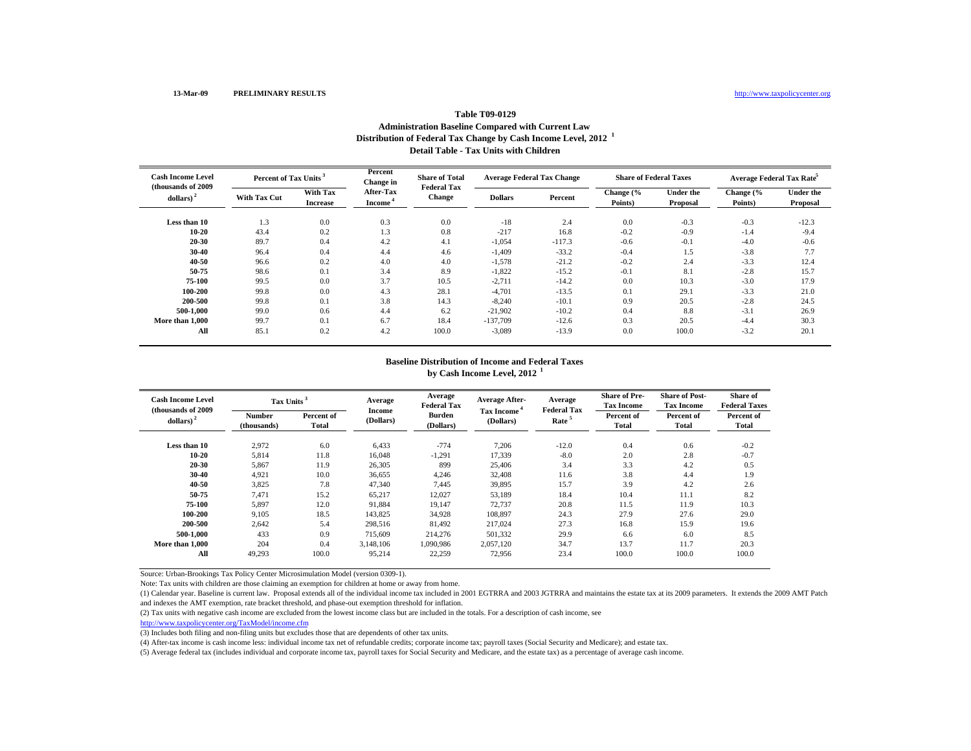## **Table T09-0129Administration Baseline Compared with Current Law Distribution of Federal Tax Change by Cash Income Level, 2012 <sup>1</sup> Detail Table - Tax Units with Children**

| <b>Cash Income Level</b><br>(thousands of 2009) | Percent of Tax Units |                                    | Percent<br>Change in                    | <b>Share of Total</b><br><b>Federal Tax</b> | <b>Average Federal Tax Change</b> |          | <b>Share of Federal Taxes</b> |                              | <b>Average Federal Tax Rate</b> |                              |
|-------------------------------------------------|----------------------|------------------------------------|-----------------------------------------|---------------------------------------------|-----------------------------------|----------|-------------------------------|------------------------------|---------------------------------|------------------------------|
| dollars) <sup>2</sup>                           | <b>With Tax Cut</b>  | <b>With Tax</b><br><b>Increase</b> | <b>After-Tax</b><br>Income <sup>*</sup> | Change                                      | <b>Dollars</b>                    | Percent  | Change (%<br>Points)          | <b>Under the</b><br>Proposal | Change (%<br>Points)            | <b>Under the</b><br>Proposal |
| Less than 10                                    | 1.3                  | 0.0                                | 0.3                                     | 0.0                                         | $-18$                             | 2.4      | 0.0                           | $-0.3$                       | $-0.3$                          | $-12.3$                      |
| $10 - 20$                                       | 43.4                 | 0.2                                | 1.3                                     | 0.8                                         | $-217$                            | 16.8     | $-0.2$                        | $-0.9$                       | $-1.4$                          | $-9.4$                       |
| 20-30                                           | 89.7                 | 0.4                                | 4.2                                     | 4.1                                         | $-1,054$                          | $-117.3$ | $-0.6$                        | $-0.1$                       | $-4.0$                          | $-0.6$                       |
| 30-40                                           | 96.4                 | 0.4                                | 4.4                                     | 4.6                                         | $-1,409$                          | $-33.2$  | $-0.4$                        | 1.5                          | $-3.8$                          | 7.7                          |
| 40-50                                           | 96.6                 | 0.2                                | 4.0                                     | 4.0                                         | $-1,578$                          | $-21.2$  | $-0.2$                        | 2.4                          | $-3.3$                          | 12.4                         |
| 50-75                                           | 98.6                 | 0.1                                | 3.4                                     | 8.9                                         | $-1,822$                          | $-15.2$  | $-0.1$                        | 8.1                          | $-2.8$                          | 15.7                         |
| 75-100                                          | 99.5                 | 0.0                                | 3.7                                     | 10.5                                        | $-2,711$                          | $-14.2$  | 0.0                           | 10.3                         | $-3.0$                          | 17.9                         |
| 100-200                                         | 99.8                 | 0.0                                | 4.3                                     | 28.1                                        | $-4,701$                          | $-13.5$  | 0.1                           | 29.1                         | $-3.3$                          | 21.0                         |
| 200-500                                         | 99.8                 | 0.1                                | 3.8                                     | 14.3                                        | $-8,240$                          | $-10.1$  | 0.9                           | 20.5                         | $-2.8$                          | 24.5                         |
| 500-1.000                                       | 99.0                 | 0.6                                | 4.4                                     | 6.2                                         | $-21,902$                         | $-10.2$  | 0.4                           | 8.8                          | $-3.1$                          | 26.9                         |
| More than 1,000                                 | 99.7                 | 0.1                                | 6.7                                     | 18.4                                        | $-137,709$                        | $-12.6$  | 0.3                           | 20.5                         | $-4.4$                          | 30.3                         |
| All                                             | 85.1                 | 0.2                                | 4.2                                     | 100.0                                       | $-3,089$                          | $-13.9$  | 0.0                           | 100.0                        | $-3.2$                          | 20.1                         |

## **Baseline Distribution of Income and Federal Taxesby Cash Income Level, 2012 <sup>1</sup>**

| <b>Cash Income Level</b><br>(thousands of 2009) | Tax Units <sup>3</sup>       |                     | Average             | Average<br><b>Federal Tax</b> | <b>Average After-</b>                | Average<br><b>Federal Tax</b> | <b>Share of Pre-</b><br><b>Tax Income</b> | <b>Share of Post-</b><br><b>Tax Income</b> | Share of<br><b>Federal Taxes</b> |
|-------------------------------------------------|------------------------------|---------------------|---------------------|-------------------------------|--------------------------------------|-------------------------------|-------------------------------------------|--------------------------------------------|----------------------------------|
| dollars) $2$                                    | <b>Number</b><br>(thousands) | Percent of<br>Total | Income<br>(Dollars) | Burden<br>(Dollars)           | Tax Income <sup>4</sup><br>(Dollars) | Rate <sup>5</sup>             | Percent of<br><b>Total</b>                | Percent of<br>Total                        | Percent of<br>Total              |
| Less than 10                                    | 2,972                        | 6.0                 | 6,433               | $-774$                        | 7,206                                | $-12.0$                       | 0.4                                       | 0.6                                        | $-0.2$                           |
| $10 - 20$                                       | 5,814                        | 11.8                | 16.048              | $-1,291$                      | 17,339                               | $-8.0$                        | 2.0                                       | 2.8                                        | $-0.7$                           |
| 20-30                                           | 5,867                        | 11.9                | 26,305              | 899                           | 25,406                               | 3.4                           | 3.3                                       | 4.2                                        | 0.5                              |
| 30-40                                           | 4,921                        | 10.0                | 36,655              | 4,246                         | 32,408                               | 11.6                          | 3.8                                       | 4.4                                        | 1.9                              |
| $40 - 50$                                       | 3,825                        | 7.8                 | 47,340              | 7,445                         | 39,895                               | 15.7                          | 3.9                                       | 4.2                                        | 2.6                              |
| 50-75                                           | 7,471                        | 15.2                | 65,217              | 12,027                        | 53,189                               | 18.4                          | 10.4                                      | 11.1                                       | 8.2                              |
| 75-100                                          | 5,897                        | 12.0                | 91,884              | 19,147                        | 72,737                               | 20.8                          | 11.5                                      | 11.9                                       | 10.3                             |
| 100-200                                         | 9,105                        | 18.5                | 143,825             | 34,928                        | 108,897                              | 24.3                          | 27.9                                      | 27.6                                       | 29.0                             |
| 200-500                                         | 2.642                        | 5.4                 | 298,516             | 81.492                        | 217.024                              | 27.3                          | 16.8                                      | 15.9                                       | 19.6                             |
| 500-1.000                                       | 433                          | 0.9                 | 715,609             | 214.276                       | 501.332                              | 29.9                          | 6.6                                       | 6.0                                        | 8.5                              |
| More than 1.000                                 | 204                          | 0.4                 | 3.148.106           | 1.090.986                     | 2.057.120                            | 34.7                          | 13.7                                      | 11.7                                       | 20.3                             |
| All                                             | 49,293                       | 100.0               | 95,214              | 22,259                        | 72,956                               | 23.4                          | 100.0                                     | 100.0                                      | 100.0                            |

Source: Urban-Brookings Tax Policy Center Microsimulation Model (version 0309-1).

Note: Tax units with children are those claiming an exemption for children at home or away from home.

(1) Calendar year. Baseline is current law. Proposal extends all of the individual income tax included in 2001 EGTRRA and 2003 JGTRRA and maintains the estate tax at its 2009 parameters. It extends the 2009 AMT Patch and indexes the AMT exemption, rate bracket threshold, and phase-out exemption threshold for inflation.

(2) Tax units with negative cash income are excluded from the lowest income class but are included in the totals. For a description of cash income, see

http://www.taxpolicycenter.org/TaxModel/income.cfm

(3) Includes both filing and non-filing units but excludes those that are dependents of other tax units.

(4) After-tax income is cash income less: individual income tax net of refundable credits; corporate income tax; payroll taxes (Social Security and Medicare); and estate tax.